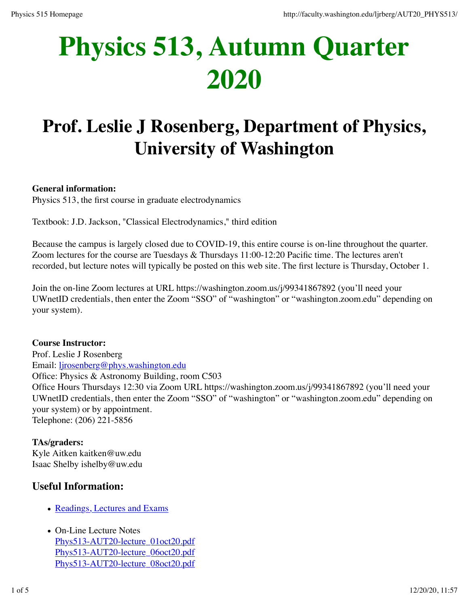# **Physics 513, Autumn Quarter 2020**

# **Prof. Leslie J Rosenberg, Department of Physics, University of Washington**

#### **General information:**

Physics 513, the first course in graduate electrodynamics

Textbook: J.D. Jackson, "Classical Electrodynamics," third edition

Because the campus is largely closed due to COVID-19, this entire course is on-line throughout the quarter. Zoom lectures for the course are Tuesdays & Thursdays 11:00-12:20 Pacific time. The lectures aren't recorded, but lecture notes will typically be posted on this web site. The first lecture is Thursday, October 1.

Join the on-line Zoom lectures at URL https://washington.zoom.us/j/99341867892 (you'll need your UWnetID credentials, then enter the Zoom "SSO" of "washington" or "washington.zoom.edu" depending on your system).

#### **Course Instructor:**

Prof. Leslie J Rosenberg Email: ljrosenberg@phys.washington.edu Office: Physics & Astronomy Building, room C503 Office Hours Thursdays 12:30 via Zoom URL https://washington.zoom.us/j/99341867892 (you'll need your UWnetID credentials, then enter the Zoom "SSO" of "washington" or "washington.zoom.edu" depending on your system) or by appointment. Telephone: (206) 221-5856

#### **TAs/graders:**

Kyle Aitken kaitken@uw.edu Isaac Shelby ishelby@uw.edu

## **Useful Information:**

- Readings, Lectures and Exams
- On-Line Lecture Notes Phys513-AUT20-lecture\_01oct20.pdf Phys513-AUT20-lecture\_06oct20.pdf Phys513-AUT20-lecture\_08oct20.pdf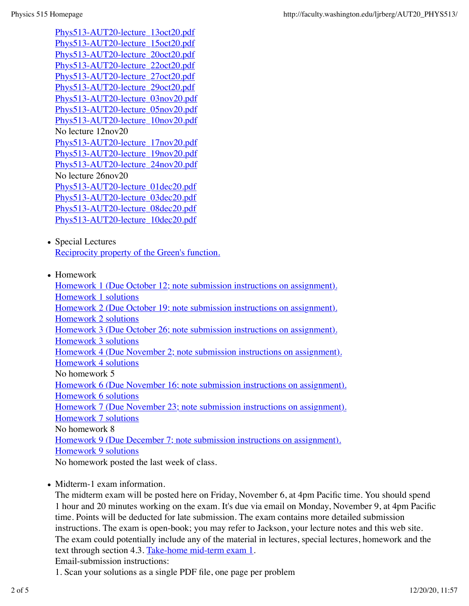Phys513-AUT20-lecture\_13oct20.pdf Phys513-AUT20-lecture\_15oct20.pdf Phys513-AUT20-lecture\_20oct20.pdf Phys513-AUT20-lecture\_22oct20.pdf Phys513-AUT20-lecture\_27oct20.pdf Phys513-AUT20-lecture\_29oct20.pdf Phys513-AUT20-lecture\_03nov20.pdf Phys513-AUT20-lecture\_05nov20.pdf Phys513-AUT20-lecture\_10nov20.pdf No lecture 12nov20 Phys513-AUT20-lecture\_17nov20.pdf Phys513-AUT20-lecture\_19nov20.pdf Phys513-AUT20-lecture\_24nov20.pdf No lecture 26nov20 Phys513-AUT20-lecture\_01dec20.pdf Phys513-AUT20-lecture\_03dec20.pdf Phys513-AUT20-lecture\_08dec20.pdf Phys513-AUT20-lecture\_10dec20.pdf

- Special Lectures Reciprocity property of the Green's function.
- Homework

Homework 1 (Due October 12; note submission instructions on assignment). Homework 1 solutions Homework 2 (Due October 19; note submission instructions on assignment). Homework 2 solutions Homework 3 (Due October 26; note submission instructions on assignment). Homework 3 solutions Homework 4 (Due November 2; note submission instructions on assignment). Homework 4 solutions No homework 5 Homework 6 (Due November 16; note submission instructions on assignment). Homework 6 solutions Homework 7 (Due November 23; note submission instructions on assignment). Homework 7 solutions No homework 8 Homework 9 (Due December 7; note submission instructions on assignment). Homework 9 solutions No homework posted the last week of class.

• Midterm-1 exam information.

The midterm exam will be posted here on Friday, November 6, at 4pm Pacific time. You should spend 1 hour and 20 minutes working on the exam. It's due via email on Monday, November 9, at 4pm Pacific time. Points will be deducted for late submission. The exam contains more detailed submission instructions. The exam is open-book; you may refer to Jackson, your lecture notes and this web site. The exam could potentially include any of the material in lectures, special lectures, homework and the text through section 4.3. Take-home mid-term exam 1.

Email-submission instructions:

1. Scan your solutions as a single PDF file, one page per problem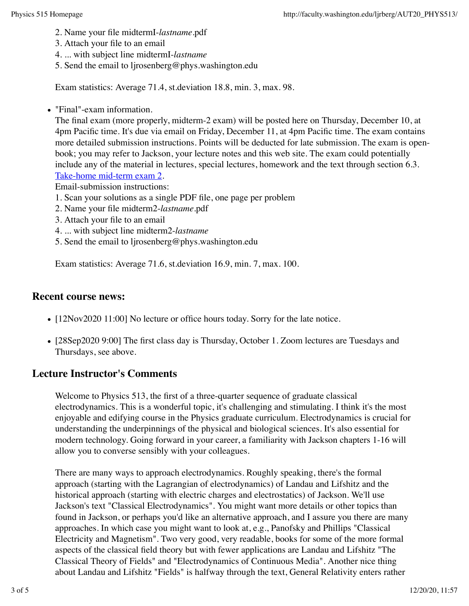- 2. Name your file midtermI-*lastname*.pdf
- 3. Attach your file to an email
- 4. ... with subject line midtermI-*lastname*
- 5. Send the email to ljrosenberg@phys.washington.edu

Exam statistics: Average 71.4, st.deviation 18.8, min. 3, max. 98.

"Final"-exam information.

The final exam (more properly, midterm-2 exam) will be posted here on Thursday, December 10, at 4pm Pacific time. It's due via email on Friday, December 11, at 4pm Pacific time. The exam contains more detailed submission instructions. Points will be deducted for late submission. The exam is openbook; you may refer to Jackson, your lecture notes and this web site. The exam could potentially include any of the material in lectures, special lectures, homework and the text through section 6.3. Take-home mid-term exam 2.

Email-submission instructions:

- 1. Scan your solutions as a single PDF file, one page per problem
- 2. Name your file midterm2-*lastname*.pdf
- 3. Attach your file to an email
- 4. ... with subject line midterm2-*lastname*
- 5. Send the email to ljrosenberg@phys.washington.edu

Exam statistics: Average 71.6, st.deviation 16.9, min. 7, max. 100.

#### **Recent course news:**

- [12Nov2020 11:00] No lecture or office hours today. Sorry for the late notice.
- [28Sep2020 9:00] The first class day is Thursday, October 1. Zoom lectures are Tuesdays and Thursdays, see above.

## **Lecture Instructor's Comments**

Welcome to Physics 513, the first of a three-quarter sequence of graduate classical electrodynamics. This is a wonderful topic, it's challenging and stimulating. I think it's the most enjoyable and edifying course in the Physics graduate curriculum. Electrodynamics is crucial for understanding the underpinnings of the physical and biological sciences. It's also essential for modern technology. Going forward in your career, a familiarity with Jackson chapters 1-16 will allow you to converse sensibly with your colleagues.

There are many ways to approach electrodynamics. Roughly speaking, there's the formal approach (starting with the Lagrangian of electrodynamics) of Landau and Lifshitz and the historical approach (starting with electric charges and electrostatics) of Jackson. We'll use Jackson's text "Classical Electrodynamics". You might want more details or other topics than found in Jackson, or perhaps you'd like an alternative approach, and I assure you there are many approaches. In which case you might want to look at, e.g., Panofsky and Phillips "Classical Electricity and Magnetism". Two very good, very readable, books for some of the more formal aspects of the classical field theory but with fewer applications are Landau and Lifshitz "The Classical Theory of Fields" and "Electrodynamics of Continuous Media". Another nice thing about Landau and Lifshitz "Fields" is halfway through the text, General Relativity enters rather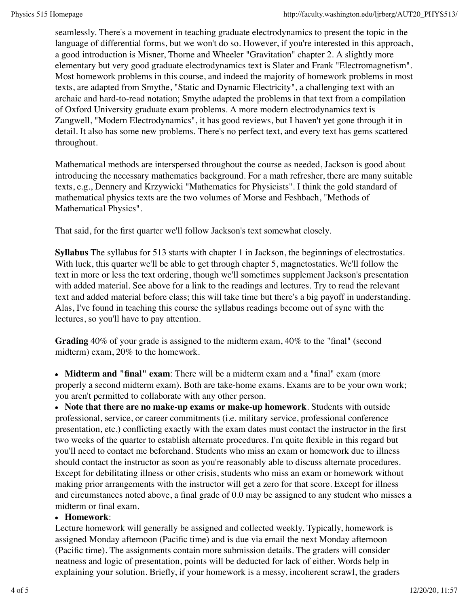seamlessly. There's a movement in teaching graduate electrodynamics to present the topic in the language of differential forms, but we won't do so. However, if you're interested in this approach, a good introduction is Misner, Thorne and Wheeler "Gravitation" chapter 2. A slightly more elementary but very good graduate electrodynamics text is Slater and Frank "Electromagnetism". Most homework problems in this course, and indeed the majority of homework problems in most texts, are adapted from Smythe, "Static and Dynamic Electricity", a challenging text with an archaic and hard-to-read notation; Smythe adapted the problems in that text from a compilation of Oxford University graduate exam problems. A more modern electrodynamics text is Zangwell, "Modern Electrodynamics", it has good reviews, but I haven't yet gone through it in detail. It also has some new problems. There's no perfect text, and every text has gems scattered throughout.

Mathematical methods are interspersed throughout the course as needed, Jackson is good about introducing the necessary mathematics background. For a math refresher, there are many suitable texts, e.g., Dennery and Krzywicki "Mathematics for Physicists". I think the gold standard of mathematical physics texts are the two volumes of Morse and Feshbach, "Methods of Mathematical Physics".

That said, for the first quarter we'll follow Jackson's text somewhat closely.

**Syllabus** The syllabus for 513 starts with chapter 1 in Jackson, the beginnings of electrostatics. With luck, this quarter we'll be able to get through chapter 5, magnetostatics. We'll follow the text in more or less the text ordering, though we'll sometimes supplement Jackson's presentation with added material. See above for a link to the readings and lectures. Try to read the relevant text and added material before class; this will take time but there's a big payoff in understanding. Alas, I've found in teaching this course the syllabus readings become out of sync with the lectures, so you'll have to pay attention.

**Grading** 40% of your grade is assigned to the midterm exam, 40% to the "final" (second midterm) exam, 20% to the homework.

**Midterm and "final" exam**: There will be a midterm exam and a "final" exam (more properly a second midterm exam). Both are take-home exams. Exams are to be your own work; you aren't permitted to collaborate with any other person.

**Note that there are no make-up exams or make-up homework**. Students with outside professional, service, or career commitments (i.e. military service, professional conference presentation, etc.) conflicting exactly with the exam dates must contact the instructor in the first two weeks of the quarter to establish alternate procedures. I'm quite flexible in this regard but you'll need to contact me beforehand. Students who miss an exam or homework due to illness should contact the instructor as soon as you're reasonably able to discuss alternate procedures. Except for debilitating illness or other crisis, students who miss an exam or homework without making prior arrangements with the instructor will get a zero for that score. Except for illness and circumstances noted above, a final grade of 0.0 may be assigned to any student who misses a midterm or final exam.

#### **Homework**:

Lecture homework will generally be assigned and collected weekly. Typically, homework is assigned Monday afternoon (Pacific time) and is due via email the next Monday afternoon (Pacific time). The assignments contain more submission details. The graders will consider neatness and logic of presentation, points will be deducted for lack of either. Words help in explaining your solution. Briefly, if your homework is a messy, incoherent scrawl, the graders